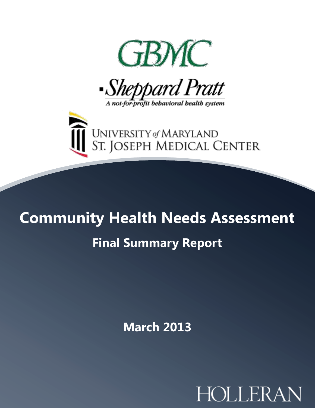





# **Community Health Needs Assessment Final Summary Report**

**March 2013**

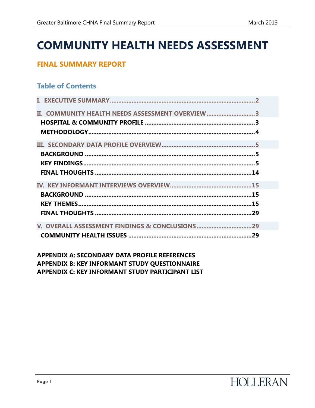## **COMMUNITY HEALTH NEEDS ASSESSMENT**

## **FINAL SUMMARY REPORT**

## **Table of Contents**

| II. COMMUNITY HEALTH NEEDS ASSESSMENT OVERVIEW 3  |  |
|---------------------------------------------------|--|
|                                                   |  |
|                                                   |  |
|                                                   |  |
|                                                   |  |
|                                                   |  |
|                                                   |  |
| FINAL THOUGHTS ……………………………………………………………………………………14 |  |
|                                                   |  |
|                                                   |  |
|                                                   |  |
|                                                   |  |
| V. OVERALL ASSESSMENT FINDINGS & CONCLUSIONS 29   |  |

**APPENDIX A: SECONDARY DATA PROFILE REFERENCES APPENDIX B: KEY INFORMANT STUDY QUESTIONNAIRE APPENDIX C: KEY INFORMANT STUDY PARTICIPANT LIST**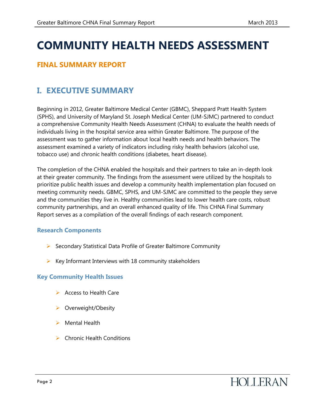## **COMMUNITY HEALTH NEEDS ASSESSMENT**

## **FINAL SUMMARY REPORT**

## <span id="page-2-0"></span>**I. EXECUTIVE SUMMARY**

Beginning in 2012, Greater Baltimore Medical Center (GBMC), Sheppard Pratt Health System (SPHS), and University of Maryland St. Joseph Medical Center (UM-SJMC) partnered to conduct a comprehensive Community Health Needs Assessment (CHNA) to evaluate the health needs of individuals living in the hospital service area within Greater Baltimore. The purpose of the assessment was to gather information about local health needs and health behaviors. The assessment examined a variety of indicators including risky health behaviors (alcohol use, tobacco use) and chronic health conditions (diabetes, heart disease).

The completion of the CHNA enabled the hospitals and their partners to take an in-depth look at their greater community. The findings from the assessment were utilized by the hospitals to prioritize public health issues and develop a community health implementation plan focused on meeting community needs. GBMC, SPHS, and UM-SJMC are committed to the people they serve and the communities they live in. Healthy communities lead to lower health care costs, robust community partnerships, and an overall enhanced quality of life. This CHNA Final Summary Report serves as a compilation of the overall findings of each research component.

#### **Research Components**

- $\triangleright$  Secondary Statistical Data Profile of Greater Baltimore Community
- $\triangleright$  Key Informant Interviews with 18 community stakeholders

#### **Key Community Health Issues**

- $\triangleright$  Access to Health Care
- ▶ Overweight/Obesity
- $\triangleright$  Mental Health
- $\triangleright$  Chronic Health Conditions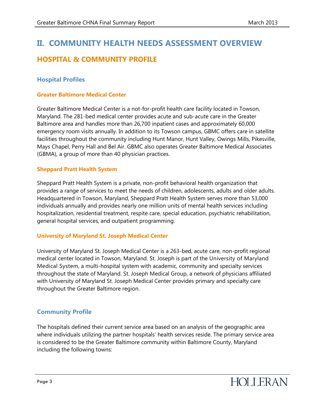## <span id="page-3-1"></span><span id="page-3-0"></span>**II. COMMUNITY HEALTH NEEDS ASSESSMENT OVERVIEW HOSPITAL & COMMUNITY PROFILE**

#### **Hospital Profiles**

#### **Greater Baltimore Medical Center**

Greater Baltimore Medical Center is a not-for-profit health care facility located in Towson, Maryland. The 281-bed medical center provides acute and sub-acute care in the Greater Baltimore area and handles more than 26,700 inpatient cases and approximately 60,000 emergency room visits annually. In addition to its Towson campus, GBMC offers care in satellite facilities throughout the community including Hunt Manor, Hunt Valley, Owings Mills, Pikesville, Mays Chapel, Perry Hall and Bel Air. GBMC also operates Greater Baltimore Medical Associates (GBMA), a group of more than 40 physician practices.

#### **Sheppard Pratt Health System**

Sheppard Pratt Health System is a private, non-profit behavioral health organization that provides a range of services to meet the needs of children, adolescents, adults and older adults. Headquartered in Towson, Maryland, Sheppard Pratt Health System serves more than 53,000 individuals annually and provides nearly one million units of mental health services including hospitalization, residential treatment, respite care, special education, psychiatric rehabilitation, general hospital services, and outpatient programming.

#### **University of Maryland St. Joseph Medical Center**

University of Maryland St. Joseph Medical Center is a 263-bed, acute care, non-profit regional medical center located in Towson, Maryland. St. Joseph is part of the University of Maryland Medical System, a multi-hospital system with academic, community and specialty services throughout the state of Maryland. St. Joseph Medical Group, a network of physicians affiliated with University of Maryland St. Joseph Medical Center provides primary and specialty care throughout the Greater Baltimore region.

#### **Community Profile**

The hospitals defined their current service area based on an analysis of the geographic area where individuals utilizing the partner hospitals' health services reside. The primary service area is considered to be the Greater Baltimore community within Baltimore County, Maryland including the following towns: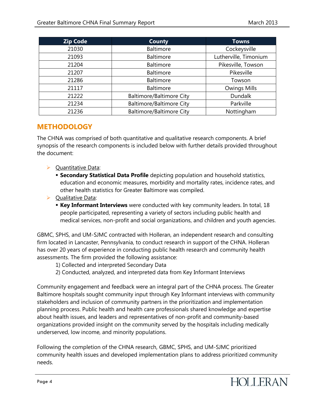| <b>Zip Code</b> | <b>County</b>                   | <b>Towns</b>          |
|-----------------|---------------------------------|-----------------------|
| 21030           | <b>Baltimore</b>                | Cockeysville          |
| 21093           | <b>Baltimore</b>                | Lutherville, Timonium |
| 21204           | <b>Baltimore</b>                | Pikesville, Towson    |
| 21207           | Baltimore                       | Pikesville            |
| 21286           | <b>Baltimore</b>                | Towson                |
| 21117           | <b>Baltimore</b>                | <b>Owings Mills</b>   |
| 21222           | <b>Baltimore/Baltimore City</b> | <b>Dundalk</b>        |
| 21234           | <b>Baltimore/Baltimore City</b> | Parkville             |
| 21236           | <b>Baltimore/Baltimore City</b> | Nottingham            |

#### <span id="page-4-0"></span>**METHODOLOGY**

The CHNA was comprised of both quantitative and qualitative research components. A brief synopsis of the research components is included below with further details provided throughout the document:

- $\triangleright$  Quantitative Data:
	- **Secondary Statistical Data Profile** depicting population and household statistics, education and economic measures, morbidity and mortality rates, incidence rates, and other health statistics for Greater Baltimore was compiled.
- $\triangleright$  Qualitative Data:
	- **Key Informant Interviews** were conducted with key community leaders. In total, 18 people participated, representing a variety of sectors including public health and medical services, non-profit and social organizations, and children and youth agencies.

GBMC, SPHS, and UM-SJMC contracted with Holleran, an independent research and consulting firm located in Lancaster, Pennsylvania, to conduct research in support of the CHNA. Holleran has over 20 years of experience in conducting public health research and community health assessments. The firm provided the following assistance:

- 1) Collected and interpreted Secondary Data
- 2) Conducted, analyzed, and interpreted data from Key Informant Interviews

Community engagement and feedback were an integral part of the CHNA process. The Greater Baltimore hospitals sought community input through Key Informant interviews with community stakeholders and inclusion of community partners in the prioritization and implementation planning process. Public health and health care professionals shared knowledge and expertise about health issues, and leaders and representatives of non-profit and community-based organizations provided insight on the community served by the hospitals including medically underserved, low income, and minority populations.

Following the completion of the CHNA research, GBMC, SPHS, and UM-SJMC prioritized community health issues and developed implementation plans to address prioritized community needs.

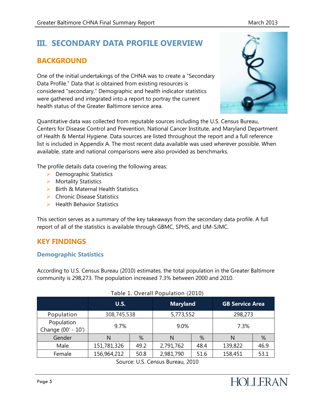## <span id="page-5-0"></span>**III. SECONDARY DATA PROFILE OVERVIEW**

## <span id="page-5-1"></span>**BACKGROUND**

One of the initial undertakings of the CHNA was to create a "Secondary Data Profile." Data that is obtained from existing resources is considered "secondary." Demographic and health indicator statistics were gathered and integrated into a report to portray the current health status of the Greater Baltimore service area.



Quantitative data was collected from reputable sources including the U.S. Census Bureau, Centers for Disease Control and Prevention, National Cancer Institute, and Maryland Department of Health & Mental Hygiene. Data sources are listed throughout the report and a full reference list is included in Appendix A. The most recent data available was used wherever possible. When available, state and national comparisons were also provided as benchmarks.

The profile details data covering the following areas:

- $\triangleright$  Demographic Statistics
- ▶ Mortality Statistics
- $\triangleright$  Birth & Maternal Health Statistics
- $\triangleright$  Chronic Disease Statistics
- $\triangleright$  Health Behavior Statistics

This section serves as a summary of the key takeaways from the secondary data profile. A full report of all of the statistics is available through GBMC, SPHS, and UM-SJMC.

## <span id="page-5-2"></span>**KEY FINDINGS**

#### **Demographic Statistics**

According to U.S. Census Bureau (2010) estimates, the total population in the Greater Baltimore community is 298,273. The population increased 7.3% between 2000 and 2010.

|                                  | <b>U.S.</b> |      | <b>Maryland</b> |      | <b>GB Service Area</b> |      |
|----------------------------------|-------------|------|-----------------|------|------------------------|------|
| Population                       | 308,745,538 |      | 5,773,552       |      | 298,273                |      |
| Population<br>Change (00' - 10') | 9.7%        |      | 9.0%            |      | 7.3%                   |      |
| Gender                           | N           | %    | N               | %    | N                      | %    |
| Male                             | 151,781,326 | 49.2 | 2,791,762       | 48.4 | 139,822                | 46.9 |
| Female                           | 156,964,212 | 50.8 | 2,981,790       | 51.6 | 158,451                | 53.1 |

#### Table 1. Overall Population (2010)

Source: U.S. Census Bureau, 2010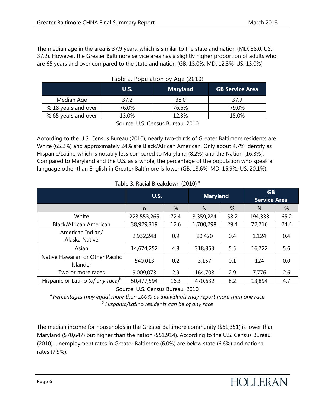The median age in the area is 37.9 years, which is similar to the state and nation (MD: 38.0; US: 37.2). However, the Greater Baltimore service area has a slightly higher proportion of adults who are 65 years and over compared to the state and nation (GB: 15.0%; MD: 12.3%; US: 13.0%)

|                     | U.S.  | <b>Maryland</b> | <b>GB Service Area</b> |
|---------------------|-------|-----------------|------------------------|
| Median Age          | 37 2  | 38.0            | 37 9                   |
| % 18 years and over | 76.0% | 76.6%           | 79.0%                  |
| % 65 years and over | 13.0% | $12.3\%$        | 15.0%                  |

|  | Table 2. Population by Age (2010) |  |  |
|--|-----------------------------------|--|--|
|--|-----------------------------------|--|--|

Source: U.S. Census Bureau, 2010

According to the U.S. Census Bureau (2010), nearly two-thirds of Greater Baltimore residents are White (65.2%) and approximately 24% are Black/African American. Only about 4.7% identify as Hispanic/Latino which is notably less compared to Maryland (8.2%) and the Nation (16.3%). Compared to Maryland and the U.S. as a whole, the percentage of the population who speak a language other than English in Greater Baltimore is lower (GB: 13.6%; MD: 15.9%; US: 20.1%).

|                                              | <b>U.S.</b> |      | <b>Maryland</b> |      | <b>GB</b><br><b>Service Area</b> |      |
|----------------------------------------------|-------------|------|-----------------|------|----------------------------------|------|
|                                              | n           | %    | N               | %    | N                                | %    |
| White                                        | 223,553,265 | 72.4 | 3,359,284       | 58.2 | 194,333                          | 65.2 |
| <b>Black/African American</b>                | 38,929,319  | 12.6 | 1,700,298       | 29.4 | 72,716                           | 24.4 |
| American Indian/<br>Alaska Native            | 2,932,248   | 0.9  | 20,420          | 0.4  | 1,124                            | 0.4  |
| Asian                                        | 14,674,252  | 4.8  | 318,853         | 5.5  | 16,722                           | 5.6  |
| Native Hawaiian or Other Pacific<br>Islander | 540,013     | 0.2  | 3,157           | 0.1  | 124                              | 0.0  |
| Two or more races                            | 9,009,073   | 2.9  | 164,708         | 2.9  | 7,776                            | 2.6  |
| Hispanic or Latino (of any race) $^{\circ}$  | 50,477,594  | 16.3 | 470,632         | 8.2  | 13,894                           | 4.7  |

Table 3. Racial Breakdown (2010) *<sup>a</sup>*

Source: U.S. Census Bureau, 2010

*<sup>a</sup>Percentages may equal more than 100% as individuals may report more than one race <sup>b</sup> Hispanic/Latino residents can be of any race*

The median income for households in the Greater Baltimore community (\$61,351) is lower than Maryland (\$70,647) but higher than the nation (\$51,914). According to the U.S. Census Bureau (2010), unemployment rates in Greater Baltimore (6.0%) are below state (6.6%) and national rates (7.9%).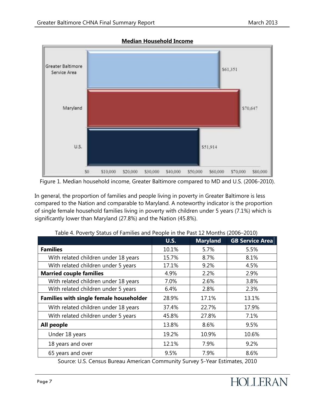

#### **Median Household Income**

Figure 1. Median household income, Greater Baltimore compared to MD and U.S. (2006-2010).

In general, the proportion of families and people living in poverty in Greater Baltimore is less compared to the Nation and comparable to Maryland. A noteworthy indicator is the proportion of single female household families living in poverty with children under 5 years (7.1%) which is significantly lower than Maryland (27.8%) and the Nation (45.8%).

|                                         | <b>U.S.</b> | <b>Maryland</b> | <b>GB Service Area</b> |
|-----------------------------------------|-------------|-----------------|------------------------|
| <b>Families</b>                         | 10.1%       | 5.7%            | 5.5%                   |
| With related children under 18 years    | 15.7%       | 8.7%            | 8.1%                   |
| With related children under 5 years     | 17.1%       | 9.2%            | 4.5%                   |
| <b>Married couple families</b>          | 4.9%        | 2.2%            | 2.9%                   |
| With related children under 18 years    | 7.0%        | 2.6%            | 3.8%                   |
| With related children under 5 years     | 6.4%        | 2.8%            | 2.3%                   |
| Families with single female householder | 28.9%       | 17.1%           | 13.1%                  |
| With related children under 18 years    | 37.4%       | 22.7%           | 17.9%                  |
| With related children under 5 years     | 45.8%       | 27.8%           | 7.1%                   |
| All people                              | 13.8%       | 8.6%            | 9.5%                   |
| Under 18 years                          | 19.2%       | 10.9%           | 10.6%                  |
| 18 years and over                       | 12.1%       | 7.9%            | 9.2%                   |
| 65 years and over                       | 9.5%        | 7.9%            | 8.6%                   |

Table 4. Poverty Status of Families and People in the Past 12 Months (2006–2010)

Source: U.S. Census Bureau American Community Survey 5-Year Estimates, 2010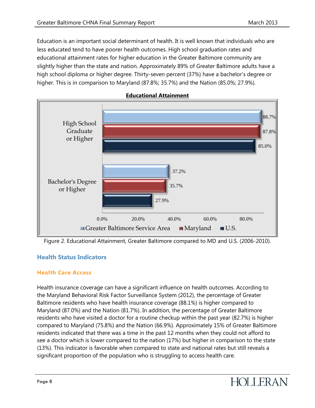Education is an important social determinant of health. It is well known that individuals who are less educated tend to have poorer health outcomes. High school graduation rates and educational attainment rates for higher education in the Greater Baltimore community are slightly higher than the state and nation. Approximately 89% of Greater Baltimore adults have a high school diploma or higher degree. Thirty-seven percent (37%) have a bachelor's degree or higher. This is in comparison to Maryland (87.8%; 35.7%) and the Nation (85.0%; 27.9%).



#### **Educational Attainment**

Figure 2. Educational Attainment, Greater Baltimore compared to MD and U.S. (2006-2010).

#### **Health Status Indicators**

#### **Health Care Access**

Health insurance coverage can have a significant influence on health outcomes. According to the Maryland Behavioral Risk Factor Surveillance System (2012), the percentage of Greater Baltimore residents who have health insurance coverage (88.1%) is higher compared to Maryland (87.0%) and the Nation (81.7%). In addition, the percentage of Greater Baltimore residents who have visited a doctor for a routine checkup within the past year (82.7%) is higher compared to Maryland (75.8%) and the Nation (66.9%). Approximately 15% of Greater Baltimore residents indicated that there was a time in the past 12 months when they could not afford to see a doctor which is lower compared to the nation (17%) but higher in comparison to the state (13%). This indicator is favorable when compared to state and national rates but still reveals a significant proportion of the population who is struggling to access health care.

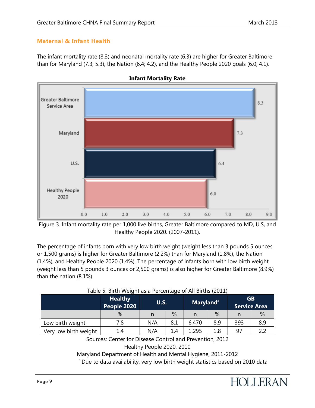#### **Maternal & Infant Health**

The infant mortality rate (8.3) and neonatal mortality rate (6.3) are higher for Greater Baltimore than for Maryland (7.3; 5.3), the Nation (6.4; 4.2), and the Healthy People 2020 goals (6.0; 4.1).





Figure 3. Infant mortality rate per 1,000 live births, Greater Baltimore compared to MD, U.S, and Healthy People 2020. (2007-2011).

The percentage of infants born with very low birth weight (weight less than 3 pounds 5 ounces or 1,500 grams) is higher for Greater Baltimore (2.2%) than for Maryland (1.8%), the Nation (1.4%), and Healthy People 2020 (1.4%). The percentage of infants born with low birth weight (weight less than 5 pounds 3 ounces or 2,500 grams) is also higher for Greater Baltimore (8.9%) than the nation (8.1%).

|                       | <b>Healthy</b><br>People 2020 | <b>U.S.</b> |     |       |     | <b>Maryland</b> <sup>a</sup> |     | <b>GB</b><br><b>Service Area</b> |  |
|-----------------------|-------------------------------|-------------|-----|-------|-----|------------------------------|-----|----------------------------------|--|
|                       | %                             |             | %   |       | %   | n                            | %   |                                  |  |
| Low birth weight      | 7.8                           | N/A         | 8.1 | 6,470 | 8.9 | 393                          | 8.9 |                                  |  |
| Very low birth weight | 1.4                           | N/A         | 1.4 | ,295  | 1.8 | 97                           |     |                                  |  |

| Table 5. Birth Weight as a Percentage of All Births (2011) |
|------------------------------------------------------------|
|------------------------------------------------------------|

Sources: Center for Disease Control and Prevention, 2012 Healthy People 2020, 2010

Maryland Department of Health and Mental Hygiene, 2011-2012

<sup>a</sup> Due to data availability, very low birth weight statistics based on 2010 data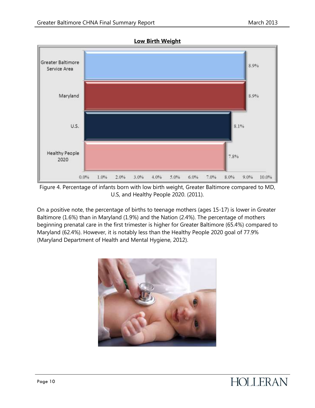

Figure 4. Percentage of infants born with low birth weight, Greater Baltimore compared to MD, U.S, and Healthy People 2020. (2011).

On a positive note, the percentage of births to teenage mothers (ages 15-17) is lower in Greater Baltimore (1.6%) than in Maryland (1.9%) and the Nation (2.4%). The percentage of mothers beginning prenatal care in the first trimester is higher for Greater Baltimore (65.4%) compared to Maryland (62.4%). However, it is notably less than the Healthy People 2020 goal of 77.9% (Maryland Department of Health and Mental Hygiene, 2012).



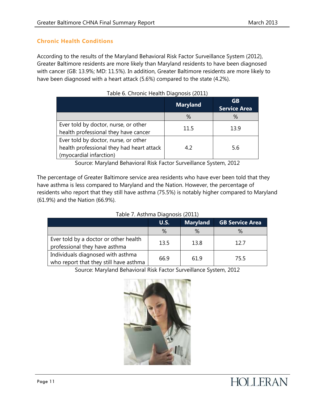#### **Chronic Health Conditions**

According to the results of the Maryland Behavioral Risk Factor Surveillance System (2012), Greater Baltimore residents are more likely than Maryland residents to have been diagnosed with cancer (GB: 13.9%; MD: 11.5%). In addition, Greater Baltimore residents are more likely to have been diagnosed with a heart attack (5.6%) compared to the state (4.2%).

|                                           | <b>Maryland</b> | GB<br><b>Service Area</b> |
|-------------------------------------------|-----------------|---------------------------|
|                                           | %               | ℅                         |
| Ever told by doctor, nurse, or other      | 11.5            | 13.9                      |
| health professional they have cancer      |                 |                           |
| Ever told by doctor, nurse, or other      |                 |                           |
| health professional they had heart attack | 42              | 5.6                       |
| (myocardial infarction)                   |                 |                           |

|  | Table 6. Chronic Health Diagnosis (2011) |  |
|--|------------------------------------------|--|
|  |                                          |  |

Source: Maryland Behavioral Risk Factor Surveillance System, 2012

The percentage of Greater Baltimore service area residents who have ever been told that they have asthma is less compared to Maryland and the Nation. However, the percentage of residents who report that they still have asthma (75.5%) is notably higher compared to Maryland (61.9%) and the Nation (66.9%).

#### Table 7. Asthma Diagnosis (2011)

|                                                                             | U.S. | <b>Maryland</b> | <b>GB Service Area</b> |  |  |
|-----------------------------------------------------------------------------|------|-----------------|------------------------|--|--|
|                                                                             | %    | $\%$            | ℅                      |  |  |
| Ever told by a doctor or other health<br>professional they have asthma      | 13.5 | 13.8            | 12.7                   |  |  |
| Individuals diagnosed with asthma<br>who report that they still have asthma | 66.9 | 61.9            | 75.5                   |  |  |

Source: Maryland Behavioral Risk Factor Surveillance System, 2012

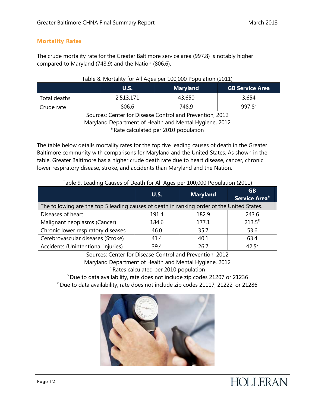#### **Mortality Rates**

The crude mortality rate for the Greater Baltimore service area (997.8) is notably higher compared to Maryland (748.9) and the Nation (806.6).

#### Table 8. Mortality for All Ages per 100,000 Population (2011)

|              | <b>U.S.</b> | <b>Maryland</b> | <b>GB Service Area</b> |
|--------------|-------------|-----------------|------------------------|
| Total deaths | 2,513,171   | 43,650          | 3,654                  |
| Crude rate   | 806.6       | 748.9           | 997.8 <sup>a</sup>     |

Sources: Center for Disease Control and Prevention, 2012 Maryland Department of Health and Mental Hygiene, 2012 <sup>a</sup> Rate calculated per 2010 population

The table below details mortality rates for the top five leading causes of death in the Greater Baltimore community with comparisons for Maryland and the United States. As shown in the table, Greater Baltimore has a higher crude death rate due to heart disease, cancer, chronic lower respiratory disease, stroke, and accidents than Maryland and the Nation.

| Table 5. Leading Causes of Death for All Ages per 100,000 Fopulation (2011)                |             |                 |                                 |  |
|--------------------------------------------------------------------------------------------|-------------|-----------------|---------------------------------|--|
|                                                                                            | <b>U.S.</b> | <b>Maryland</b> | GB<br>Service Area <sup>a</sup> |  |
| The following are the top 5 leading causes of death in ranking order of the United States. |             |                 |                                 |  |
| Diseases of heart                                                                          | 191.4       | 182.9           | 243.6                           |  |
| Malignant neoplasms (Cancer)                                                               | 184.6       | 177.1           | $213.5^{b}$                     |  |
| Chronic lower respiratory diseases                                                         | 46.0        | 35.7            | 53.6                            |  |
| Cerebrovascular diseases (Stroke)                                                          | 41.4        | 40.1            | 63.4                            |  |
| Accidents (Unintentional injuries)                                                         | 39.4        | 26.7            | 42.5 <sup>c</sup>               |  |

#### Table 9. Leading Causes of Death for All Ages per 100,000 Population (2011)

Sources: Center for Disease Control and Prevention, 2012 Maryland Department of Health and Mental Hygiene, 2012 <sup>a</sup> Rates calculated per 2010 population

 $b$  Due to data availability, rate does not include zip codes 21207 or 21236  $\degree$ Due to data availability, rate does not include zip codes 21117, 21222, or 21286

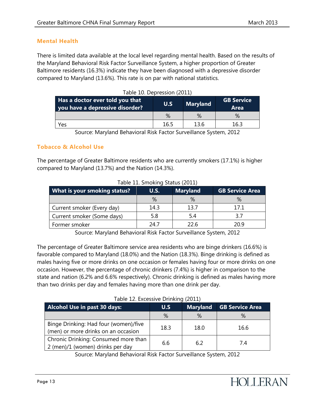#### **Mental Health**

There is limited data available at the local level regarding mental health. Based on the results of the Maryland Behavioral Risk Factor Surveillance System, a higher proportion of Greater Baltimore residents (16.3%) indicate they have been diagnosed with a depressive disorder compared to Maryland (13.6%). This rate is on par with national statistics.

| Has a doctor ever told you that<br>you have a depressive disorder? | U.S  | <b>Maryland</b> | <b>GB Service</b><br><b>Area</b> |
|--------------------------------------------------------------------|------|-----------------|----------------------------------|
|                                                                    | $\%$ | $\%$            | $\%$                             |
| Yes                                                                | 16.5 | 13.6            | 16.3                             |

|  | Table 10. Depression (2011) |  |
|--|-----------------------------|--|
|--|-----------------------------|--|

Source: Maryland Behavioral Risk Factor Surveillance System, 2012

#### **Tobacco & Alcohol Use**

The percentage of Greater Baltimore residents who are currently smokers (17.1%) is higher compared to Maryland (13.7%) and the Nation (14.3%).

| TADIE II. SHIOKING STATUS (ZUII) |      |                 |                        |  |
|----------------------------------|------|-----------------|------------------------|--|
| What is your smoking status?     | U.S. | <b>Maryland</b> | <b>GB Service Area</b> |  |
|                                  | %    |                 |                        |  |
| Current smoker (Every day)       | 14.3 | 13.7            | 17.1                   |  |
| Current smoker (Some days)       | 5.8  | 5.4             | 37                     |  |
| Former smoker                    | 24.7 | 22.6            | 20.9                   |  |

Table 11. Smoking Status (2011)

Source: Maryland Behavioral Risk Factor Surveillance System, 2012

The percentage of Greater Baltimore service area residents who are binge drinkers (16.6%) is favorable compared to Maryland (18.0%) and the Nation (18.3%). Binge drinking is defined as males having five or more drinks on one occasion or females having four or more drinks on one occasion. However, the percentage of chronic drinkers (7.4%) is higher in comparison to the state and nation (6.2% and 6.6% respectively). Chronic drinking is defined as males having more than two drinks per day and females having more than one drink per day.

| Table 12. Excessive Drinking (2011) |  |
|-------------------------------------|--|
|                                     |  |

| Alcohol Use in past 30 days:                                                 | U.S  | Maryland | <b>GB Service Area</b> |
|------------------------------------------------------------------------------|------|----------|------------------------|
|                                                                              | %    | $\%$     | %                      |
| Binge Drinking: Had four (women)/five<br>(men) or more drinks on an occasion | 18.3 | 18.0     | 16.6                   |
| Chronic Drinking: Consumed more than<br>2 (men)/1 (women) drinks per day     | 6.6  | 6.2      | 7.4                    |

Source: Maryland Behavioral Risk Factor Surveillance System, 2012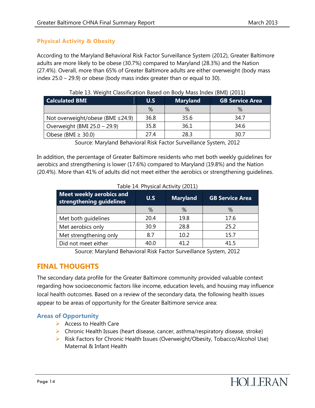#### **Physical Activity & Obesity**

According to the Maryland Behavioral Risk Factor Surveillance System (2012), Greater Baltimore adults are more likely to be obese (30.7%) compared to Maryland (28.3%) and the Nation (27.4%). Overall, more than 65% of Greater Baltimore adults are either overweight (body mass index 25.0 – 29.9) or obese (body mass index greater than or equal to 30).

| <b>Calculated BMI</b>            | U.S  | <b>Maryland</b> | <b>GB Service Area</b> |
|----------------------------------|------|-----------------|------------------------|
|                                  | $\%$ |                 | %                      |
| Not overweight/obese (BMI ≤24.9) | 36.8 | 35.6            | 34.7                   |
| Overweight (BMI 25.0 - 29.9)     | 35.8 | 36.1            | 34.6                   |
| Obese (BMI $\geq$ 30.0)          | 27 4 | 28.3            | 30.7                   |

| Table 13. Weight Classification Based on Body Mass Index (BMI) (2011) |  |
|-----------------------------------------------------------------------|--|
|-----------------------------------------------------------------------|--|

Source: Maryland Behavioral Risk Factor Surveillance System, 2012

In addition, the percentage of Greater Baltimore residents who met both weekly guidelines for aerobics and strengthening is lower (17.6%) compared to Maryland (19.8%) and the Nation (20.4%). More than 41% of adults did not meet either the aerobics or strengthening guidelines.

| Meet weekly aerobics and<br>strengthening guidelines | U.S  | <b>Maryland</b> | <b>GB Service Area</b> |
|------------------------------------------------------|------|-----------------|------------------------|
|                                                      | %    | %               | %                      |
| Met both guidelines                                  | 20.4 | 19.8            | 17.6                   |
| Met aerobics only                                    | 30.9 | 28.8            | 25.2                   |
| Met strengthening only                               | 8.7  | 10.2            | 15.7                   |
| Did not meet either                                  | 40.0 | 41.2            | 41.5                   |

#### Table 14. Physical Activity (2011)

Source: Maryland Behavioral Risk Factor Surveillance System, 2012

#### <span id="page-14-0"></span>**FINAL THOUGHTS**

The secondary data profile for the Greater Baltimore community provided valuable context regarding how socioeconomic factors like income, education levels, and housing may influence local health outcomes. Based on a review of the secondary data, the following health issues appear to be areas of opportunity for the Greater Baltimore service area:

#### **Areas of Opportunity**

- $\triangleright$  Access to Health Care
- $\triangleright$  Chronic Health Issues (heart disease, cancer, asthma/respiratory disease, stroke)
- ▶ Risk Factors for Chronic Health Issues (Overweight/Obesity, Tobacco/Alcohol Use) Maternal & Infant Health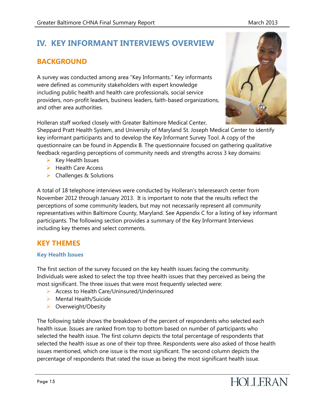## <span id="page-15-0"></span>**IV. KEY INFORMANT INTERVIEWS OVERVIEW**

## <span id="page-15-1"></span>**BACKGROUND**

A survey was conducted among area "Key Informants." Key informants were defined as community stakeholders with expert knowledge including public health and health care professionals, social service providers, non-profit leaders, business leaders, faith-based organizations, and other area authorities.

Holleran staff worked closely with Greater Baltimore Medical Center,

Sheppard Pratt Health System, and University of Maryland St. Joseph Medical Center to identify key informant participants and to develop the Key Informant Survey Tool. A copy of the questionnaire can be found in Appendix B. The questionnaire focused on gathering qualitative feedback regarding perceptions of community needs and strengths across 3 key domains:

- $\triangleright$  Key Health Issues
- $\blacktriangleright$  Health Care Access
- $\triangleright$  Challenges & Solutions

A total of 18 telephone interviews were conducted by Holleran's teleresearch center from November 2012 through January 2013. It is important to note that the results reflect the perceptions of some community leaders, but may not necessarily represent all community representatives within Baltimore County, Maryland. See Appendix C for a listing of key informant participants. The following section provides a summary of the Key Informant Interviews including key themes and select comments.

## <span id="page-15-2"></span>**KEY THEMES**

#### **Key Health Issues**

The first section of the survey focused on the key health issues facing the community. Individuals were asked to select the top three health issues that they perceived as being the most significant. The three issues that were most frequently selected were:

- ▶ Access to Health Care/Uninsured/Underinsured
- $\triangleright$  Mental Health/Suicide
- ▶ Overweight/Obesity

The following table shows the breakdown of the percent of respondents who selected each health issue. Issues are ranked from top to bottom based on number of participants who selected the health issue. The first column depicts the total percentage of respondents that selected the health issue as one of their top three. Respondents were also asked of those health issues mentioned, which one issue is the most significant. The second column depicts the percentage of respondents that rated the issue as being the most significant health issue.



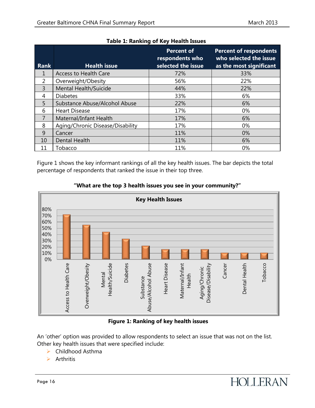| <b>Rank</b>    | <b>Health issue</b>              | <b>Percent of</b><br>respondents who<br>selected the issue | <b>Percent of respondents</b><br>who selected the issue<br>as the most significant |
|----------------|----------------------------------|------------------------------------------------------------|------------------------------------------------------------------------------------|
| 1              | <b>Access to Health Care</b>     | 72%                                                        | 33%                                                                                |
| 2              | Overweight/Obesity               | 56%                                                        | 22%                                                                                |
| $\overline{3}$ | <b>Mental Health/Suicide</b>     | 44%                                                        | 22%                                                                                |
| 4              | <b>Diabetes</b>                  | 33%                                                        | 6%                                                                                 |
| 5              | Substance Abuse/Alcohol Abuse    | 22%                                                        | 6%                                                                                 |
| 6              | <b>Heart Disease</b>             | 17%                                                        | $0\%$                                                                              |
| 7              | Maternal/Infant Health           | 17%                                                        | 6%                                                                                 |
| 8              | Aging/Chronic Disease/Disability | 17%                                                        | $0\%$                                                                              |
| 9              | Cancer                           | 11%                                                        | 0%                                                                                 |
| 10             | <b>Dental Health</b>             | 11%                                                        | 6%                                                                                 |
| 11             | Tobacco                          | 11%                                                        | 0%                                                                                 |

#### **Table 1: Ranking of Key Health Issues**

Figure 1 shows the key informant rankings of all the key health issues. The bar depicts the total percentage of respondents that ranked the issue in their top three.



#### **"What are the top 3 health issues you see in your community?"**

#### **Figure 1: Ranking of key health issues**

An 'other' option was provided to allow respondents to select an issue that was not on the list. Other key health issues that were specified include:

- ▶ Childhood Asthma
- $\triangleright$  Arthritis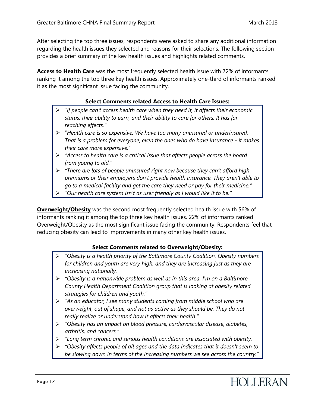After selecting the top three issues, respondents were asked to share any additional information regarding the health issues they selected and reasons for their selections. The following section provides a brief summary of the key health issues and highlights related comments.

**Access to Health Care** was the most frequently selected health issue with 72% of informants ranking it among the top three key health issues. Approximately one-third of informants ranked it as the most significant issue facing the community.

#### **Select Comments related Access to Health Care Issues:**

- *"If people can't access health care when they need it, it affects their economic status, their ability to earn, and their ability to care for others. It has far reaching effects."*
- "*Health care is so expensive. We have too many uninsured or underinsured. That is a problem for everyone, even the ones who do have insurance - it makes their care more expensive."*
- *"Access to health care is a critical issue that affects people across the board from young to old."*
- *"There are lots of people uninsured right now because they can't afford high premiums or their employers don't provide health insurance. They aren't able to go to a medical facility and get the care they need or pay for their medicine."*
- *"Our health care system isn't as user friendly as I would like it to be."*

**Overweight/Obesity** was the second most frequently selected health issue with 56% of informants ranking it among the top three key health issues. 22% of informants ranked Overweight/Obesity as the most significant issue facing the community. Respondents feel that reducing obesity can lead to improvements in many other key health issues.

#### **Select Comments related to Overweight/Obesity:**

- *"Obesity is a health priority of the Baltimore County Coalition. Obesity numbers for children and youth are very high, and they are increasing just as they are increasing nationally."*
- *"Obesity is a nationwide problem as well as in this area. I'm on a Baltimore County Health Department Coalition group that is looking at obesity related strategies for children and youth."*
- *"As an educator, I see many students coming from middle school who are overweight, out of shape, and not as active as they should be. They do not really realize or understand how it affects their health."*
- *"Obesity has an impact on blood pressure, cardiovascular disease, diabetes, arthritis, and cancers."*
- *"Long term chronic and serious health conditions are associated with obesity."*
- *"Obesity affects people of all ages and the data indicates that it doesn't seem to be slowing down in terms of the increasing numbers we see across the country."*

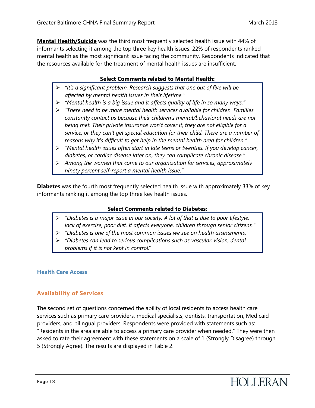**Mental Health/Suicide** was the third most frequently selected health issue with 44% of informants selecting it among the top three key health issues. 22% of respondents ranked mental health as the most significant issue facing the community. Respondents indicated that the resources available for the treatment of mental health issues are insufficient.

#### **Select Comments related to Mental Health:**

- *"It's a significant problem. Research suggests that one out of five will be affected by mental health issues in their lifetime."*
- *"Mental health is a big issue and it affects quality of life in so many ways."*
- *"There need to be more mental health services available for children. Families constantly contact us because their children's mental/behavioral needs are not being met. Their private insurance won't cover it, they are not eligible for a service, or they can't get special education for their child. There are a number of reasons why it's difficult to get help in the mental health area for children."*
- *"Mental health issues often start in late teens or twenties. If you develop cancer, diabetes, or cardiac disease later on, they can complicate chronic disease."*
- *Among the women that come to our organization for services, approximately ninety percent self-report a mental health issue."*

**Diabetes** was the fourth most frequently selected health issue with approximately 33% of key informants ranking it among the top three key health issues.

#### **Select Comments related to Diabetes:**

- *"Diabetes is a major issue in our society. A lot of that is due to poor lifestyle, lack of exercise, poor diet. It affects everyone, children through senior citizens."*
- *"Diabetes is one of the most common issues we see on health assessments."*
- *"Diabetes can lead to serious complications such as vascular, vision, dental problems if it is not kept in control."*

#### **Health Care Access**

#### **Availability of Services**

The second set of questions concerned the ability of local residents to access health care services such as primary care providers, medical specialists, dentists, transportation, Medicaid providers, and bilingual providers. Respondents were provided with statements such as: "Residents in the area are able to access a primary care provider when needed." They were then asked to rate their agreement with these statements on a scale of 1 (Strongly Disagree) through 5 (Strongly Agree). The results are displayed in Table 2.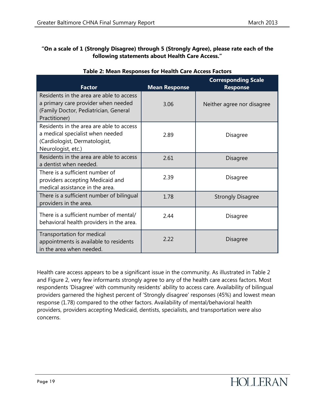#### **"On a scale of 1 (Strongly Disagree) through 5 (Strongly Agree), please rate each of the following statements about Health Care Access."**

| <b>Factor</b>                                                                                                                             | <b>Mean Response</b> | <b>Corresponding Scale</b><br><b>Response</b> |
|-------------------------------------------------------------------------------------------------------------------------------------------|----------------------|-----------------------------------------------|
| Residents in the area are able to access<br>a primary care provider when needed<br>(Family Doctor, Pediatrician, General<br>Practitioner) | 3.06                 | Neither agree nor disagree                    |
| Residents in the area are able to access<br>a medical specialist when needed<br>(Cardiologist, Dermatologist,<br>Neurologist, etc.)       | 2.89                 | Disagree                                      |
| Residents in the area are able to access<br>a dentist when needed.                                                                        | 2.61                 | Disagree                                      |
| There is a sufficient number of<br>providers accepting Medicaid and<br>medical assistance in the area.                                    | 2.39                 | Disagree                                      |
| There is a sufficient number of bilingual<br>providers in the area.                                                                       | 1.78                 | <b>Strongly Disagree</b>                      |
| There is a sufficient number of mental/<br>behavioral health providers in the area.                                                       | 244                  | Disagree                                      |
| Transportation for medical<br>appointments is available to residents<br>in the area when needed.                                          | 2.22                 | Disagree                                      |

#### **Table 2: Mean Responses for Health Care Access Factors**

Health care access appears to be a significant issue in the community. As illustrated in Table 2 and Figure 2, very few informants strongly agree to any of the health care access factors. Most respondents 'Disagree' with community residents' ability to access care. Availability of bilingual providers garnered the highest percent of 'Strongly disagree' responses (45%) and lowest mean response (1.78) compared to the other factors. Availability of mental/behavioral health providers, providers accepting Medicaid, dentists, specialists, and transportation were also concerns.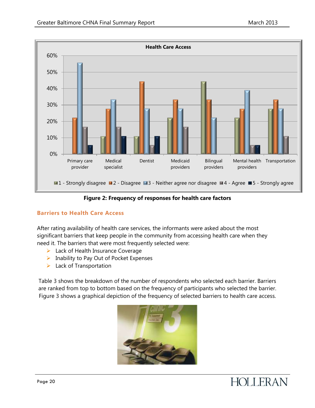

#### **Figure 2: Frequency of responses for health care factors**

#### **Barriers to Health Care Access**

After rating availability of health care services, the informants were asked about the most significant barriers that keep people in the community from accessing health care when they need it. The barriers that were most frequently selected were:

- $\blacktriangleright$  Lack of Health Insurance Coverage
- $\triangleright$  Inability to Pay Out of Pocket Expenses
- $\blacktriangleright$  Lack of Transportation

Table 3 shows the breakdown of the number of respondents who selected each barrier. Barriers are ranked from top to bottom based on the frequency of participants who selected the barrier. Figure 3 shows a graphical depiction of the frequency of selected barriers to health care access.



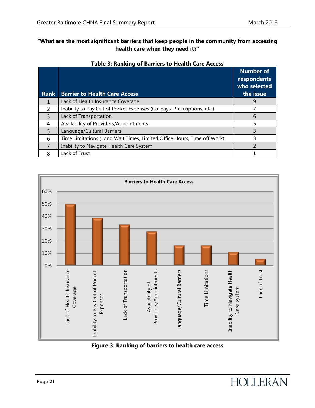#### **"What are the most significant barriers that keep people in the community from accessing health care when they need it?"**

| <b>Rank</b>   | <b>Barrier to Health Care Access</b>                                    | <b>Number of</b><br>respondents<br>who selected<br>the issue |
|---------------|-------------------------------------------------------------------------|--------------------------------------------------------------|
|               | Lack of Health Insurance Coverage                                       | 9                                                            |
| $\mathcal{P}$ | Inability to Pay Out of Pocket Expenses (Co-pays, Prescriptions, etc.)  |                                                              |
| $\mathbf{R}$  | Lack of Transportation                                                  | 6                                                            |
| 4             | Availability of Providers/Appointments                                  |                                                              |
| 5             | Language/Cultural Barriers                                              |                                                              |
| 6             | Time Limitations (Long Wait Times, Limited Office Hours, Time off Work) | 3                                                            |
|               | Inability to Navigate Health Care System                                |                                                              |
| ጸ             | Lack of Trust                                                           |                                                              |

#### **Table 3: Ranking of Barriers to Health Care Access**



#### **Figure 3: Ranking of barriers to health care access**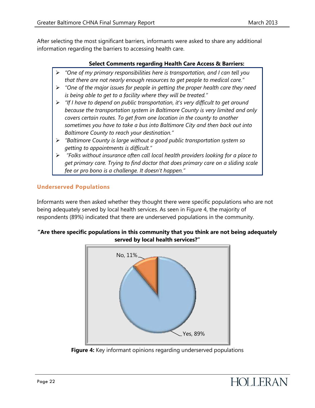After selecting the most significant barriers, informants were asked to share any additional information regarding the barriers to accessing health care.

#### **Select Comments regarding Health Care Access & Barriers:**

- *"One of my primary responsibilities here is transportation, and I can tell you that there are not nearly enough resources to get people to medical care."*
- *"One of the major issues for people in getting the proper health care they need is being able to get to a facility where they will be treated."*
- *"If I have to depend on public transportation, it's very difficult to get around because the transportation system in Baltimore County is very limited and only covers certain routes. To get from one location in the county to another sometimes you have to take a bus into Baltimore City and then back out into Baltimore County to reach your destination."*
- *"Baltimore County is large without a good public transportation system so getting to appointments is difficult."*
- *"Folks without insurance often call local health providers looking for a place to get primary care. Trying to find doctor that does primary care on a sliding scale fee or pro bono is a challenge. It doesn't happen."*

#### **Underserved Populations**

Informants were then asked whether they thought there were specific populations who are not being adequately served by local health services. As seen in Figure 4, the majority of respondents (89%) indicated that there are underserved populations in the community.

#### **"Are there specific populations in this community that you think are not being adequately served by local health services?"**



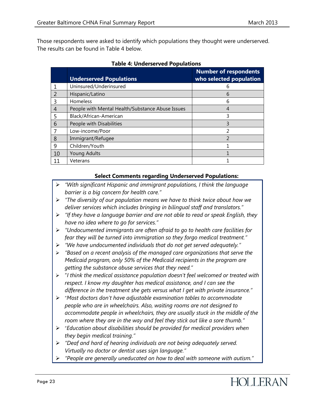Those respondents were asked to identify which populations they thought were underserved. The results can be found in Table 4 below.

|               | <b>Underserved Populations</b>                   | <b>Number of respondents</b><br>who selected population |
|---------------|--------------------------------------------------|---------------------------------------------------------|
|               | Uninsured/Underinsured                           |                                                         |
| $\mathcal{L}$ | Hispanic/Latino                                  | 6                                                       |
| $\mathbf{R}$  | Homeless                                         | 6                                                       |
|               | People with Mental Health/Substance Abuse Issues | 4                                                       |
| 5             | Black/African-American                           | 3                                                       |
| 6             | People with Disabilities                         |                                                         |
|               | Low-income/Poor                                  | 2                                                       |
| 8             | Immigrant/Refugee                                | $\mathcal{P}$                                           |
| 9             | Children/Youth                                   |                                                         |
| 10            | Young Adults                                     |                                                         |
| 11            | Veterans                                         |                                                         |

| <b>Table 4: Underserved Populations</b> |  |
|-----------------------------------------|--|
|                                         |  |

#### **Select Comments regarding Underserved Populations:**

- *"With significant Hispanic and immigrant populations, I think the language barrier is a big concern for health care."*
- *"The diversity of our population means we have to think twice about how we deliver services which includes bringing in bilingual staff and translators."*
- *"If they have a language barrier and are not able to read or speak English, they have no idea where to go for services."*
- *"Undocumented immigrants are often afraid to go to health care facilities for fear they will be turned into immigration so they forgo medical treatment."*
- *"We have undocumented individuals that do not get served adequately."*
- *"Based on a recent analysis of the managed care organizations that serve the Medicaid program, only 50% of the Medicaid recipients in the program are getting the substance abuse services that they need."*
- "*I think the medical assistance population doesn't feel welcomed or treated with respect. I know my daughter has medical assistance, and I can see the difference in the treatment she gets versus what I get with private insurance."*
- "*Most doctors don't have adjustable examination tables to accommodate people who are in wheelchairs. Also, waiting rooms are not designed to accommodate people in wheelchairs, they are usually stuck in the middle of the room where they are in the way and feel they stick out like a sore thumb."*
- "*Education about disabilities should be provided for medical providers when they begin medical training."*
- *"Deaf and hard of hearing individuals are not being adequately served. Virtually no doctor or dentist uses sign language."*
- *"People are generally uneducated on how to deal with someone with autism."*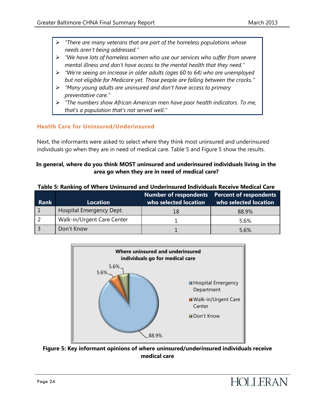- *"There are many veterans that are part of the homeless populations whose needs aren't being addressed."*
- *"We have lots of homeless women who use our services who suffer from severe mental illness and don't have access to the mental health that they need."*
- *"We're seeing an increase in older adults (ages 60 to 64) who are unemployed but not eligible for Medicare yet. Those people are falling between the cracks."*
- *"Many young adults are uninsured and don't have access to primary preventative care."*
- *"The numbers show African American men have poor health indicators. To me, that's a population that's not served well."*

#### **Health Care for Uninsured/Underinsured**

Next, the informants were asked to select where they think most uninsured and underinsured individuals go when they are in need of medical care. Table 5 and Figure 5 show the results.

#### **In general, where do you think MOST uninsured and underinsured individuals living in the area go when they are in need of medical care?**

**Table 5: Ranking of Where Uninsured and Underinsured Individuals Receive Medical Care**

| Rank | <b>Location</b>            | Number of respondents  Percent of respondents<br>who selected location | who selected location |  |
|------|----------------------------|------------------------------------------------------------------------|-----------------------|--|
|      | Hospital Emergency Dept.   | 18                                                                     | 88.9%                 |  |
|      | Walk-in/Urgent Care Center |                                                                        | 5.6%                  |  |
|      | Don't Know                 |                                                                        | 5.6%                  |  |



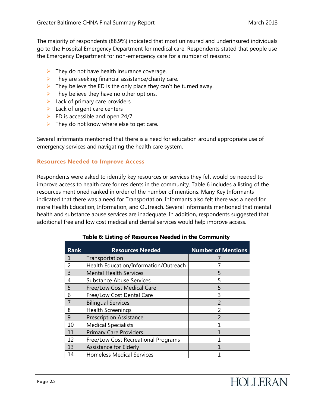The majority of respondents (88.9%) indicated that most uninsured and underinsured individuals go to the Hospital Emergency Department for medical care. Respondents stated that people use the Emergency Department for non-emergency care for a number of reasons:

- $\triangleright$  They do not have health insurance coverage.
- $\triangleright$  They are seeking financial assistance/charity care.
- $\triangleright$  They believe the ED is the only place they can't be turned away.
- $\triangleright$  They believe they have no other options.
- $\blacktriangleright$  Lack of primary care providers
- $\blacktriangleright$  Lack of urgent care centers
- $\triangleright$  ED is accessible and open 24/7.
- $\triangleright$  They do not know where else to get care.

Several informants mentioned that there is a need for education around appropriate use of emergency services and navigating the health care system.

#### **Resources Needed to Improve Access**

Respondents were asked to identify key resources or services they felt would be needed to improve access to health care for residents in the community. Table 6 includes a listing of the resources mentioned ranked in order of the number of mentions. Many Key Informants indicated that there was a need for Transportation. Informants also felt there was a need for more Health Education, Information, and Outreach. Several informants mentioned that mental health and substance abuse services are inadequate. In addition, respondents suggested that additional free and low cost medical and dental services would help improve access.

| <b>Rank</b>    | <b>Resources Needed</b>               | <b>Number of Mentions</b> |
|----------------|---------------------------------------|---------------------------|
| 1              | Transportation                        |                           |
| $\mathfrak{D}$ | Health Education/Information/Outreach |                           |
| 3              | <b>Mental Health Services</b>         | 5                         |
| 4              | <b>Substance Abuse Services</b>       | 5                         |
| 5              | Free/Low Cost Medical Care            | 5                         |
| 6              | Free/Low Cost Dental Care             | 3                         |
| 7              | <b>Bilingual Services</b>             | $\mathcal{P}$             |
| 8              | <b>Health Screenings</b>              | 2                         |
| 9              | <b>Prescription Assistance</b>        | っ                         |
| 10             | <b>Medical Specialists</b>            |                           |
| 11             | <b>Primary Care Providers</b>         |                           |
| 12             | Free/Low Cost Recreational Programs   |                           |
| 13             | Assistance for Elderly                |                           |
| 14             | <b>Homeless Medical Services</b>      |                           |

#### **Table 6: Listing of Resources Needed in the Community**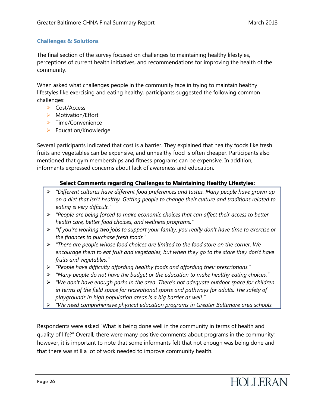#### **Challenges & Solutions**

The final section of the survey focused on challenges to maintaining healthy lifestyles, perceptions of current health initiatives, and recommendations for improving the health of the community.

When asked what challenges people in the community face in trying to maintain healthy lifestyles like exercising and eating healthy, participants suggested the following common challenges:

- Cost/Access
- > Motivation/Effort
- $\triangleright$  Time/Convenience
- $\blacktriangleright$  Education/Knowledge

Several participants indicated that cost is a barrier. They explained that healthy foods like fresh fruits and vegetables can be expensive, and unhealthy food is often cheaper. Participants also mentioned that gym memberships and fitness programs can be expensive. In addition, informants expressed concerns about lack of awareness and education.

#### **Select Comments regarding Challenges to Maintaining Healthy Lifestyles:**

- *"Different cultures have different food preferences and tastes. Many people have grown up on a diet that isn't healthy. Getting people to change their culture and traditions related to eating is very difficult."*
- *"People are being forced to make economic choices that can affect their access to better health care, better food choices, and wellness programs."*
- *"If you're working two jobs to support your family, you really don't have time to exercise or the finances to purchase fresh foods."*
- *"There are people whose food choices are limited to the food store on the corner. We encourage them to eat fruit and vegetables, but when they go to the store they don't have fruits and vegetables."*
- *"People have difficulty affording healthy foods and affording their prescriptions."*
- *"Many people do not have the budget or the education to make healthy eating choices."*
- *"We don't have enough parks in the area. There's not adequate outdoor space for children in terms of the field space for recreational sports and pathways for adults. The safety of playgrounds in high population areas is a big barrier as well."*
- *"We need comprehensive physical education programs in Greater Baltimore area schools.*

Respondents were asked "What is being done well in the community in terms of health and quality of life?" Overall, there were many positive comments about programs in the community; however, it is important to note that some informants felt that not enough was being done and that there was still a lot of work needed to improve community health.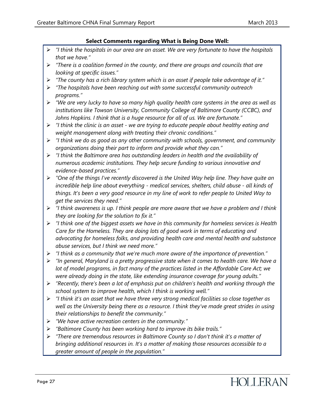#### **Select Comments regarding What is Being Done Well:**

- *"I think the hospitals in our area are an asset. We are very fortunate to have the hospitals that we have."*
- *"There is a coalition formed in the county, and there are groups and councils that are looking at specific issues."*
- *"The county has a rich library system which is an asset if people take advantage of it."*
- *"The hospitals have been reaching out with some successful community outreach programs."*
- *"We are very lucky to have so many high quality health care systems in the area as well as institutions like Towson University, Community College of Baltimore County (CCBC), and Johns Hopkins. I think that is a huge resource for all of us. We are fortunate."*
- *"I think the clinic is an asset - we are trying to educate people about healthy eating and weight management along with treating their chronic conditions."*
- *"I think we do as good as any other community with schools, government, and community organizations doing their part to inform and provide what they can."*
- *"I think the Baltimore area has outstanding leaders in health and the availability of numerous academic institutions. They help secure funding to various innovative and evidence-based practices."*
- *"One of the things I've recently discovered is the United Way help line. They have quite an incredible help line about everything - medical services, shelters, child abuse - all kinds of things. It's been a very good resource in my line of work to refer people to United Way to get the services they need."*
- *"I think awareness is up. I think people are more aware that we have a problem and I think they are looking for the solution to fix it."*
- *"I think one of the biggest assets we have in this community for homeless services is Health Care for the Homeless. They are doing lots of good work in terms of educating and advocating for homeless folks, and providing health care and mental health and substance abuse services, but I think we need more."*
- *"I think as a community that we're much more aware of the importance of prevention."*
- *"In general, Maryland is a pretty progressive state when it comes to health care. We have a lot of model programs, in fact many of the practices listed in the Affordable Care Act; we were already doing in the state, like extending insurance coverage for young adults."*
- *"Recently, there's been a lot of emphasis put on children's health and working through the school system to improve health, which I think is working well."*
- *"I think it's an asset that we have three very strong medical facilities so close together as well as the University being there as a resource. I think they've made great strides in using their relationships to benefit the community."*
- *"We have active recreation centers in the community."*
- *"Baltimore County has been working hard to improve its bike trails."*
- *"There are tremendous resources in Baltimore County so I don't think it's a matter of bringing additional resources in. It's a matter of making those resources accessible to a greater amount of people in the population."*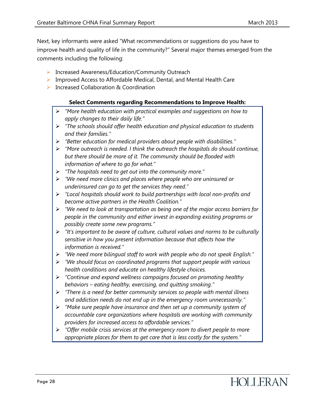Next, key informants were asked "What recommendations or suggestions do you have to improve health and quality of life in the community?" Several major themes emerged from the comments including the following:

- ▶ Increased Awareness/Education/Community Outreach
- **IMP** Improved Access to Affordable Medical, Dental, and Mental Health Care
- **▶ Increased Collaboration & Coordination**

#### **Select Comments regarding Recommendations to Improve Health:**

- *"More health education with practical examples and suggestions on how to apply changes to their daily life."*
- *"The schools should offer health education and physical education to students and their families."*
- *"Better education for medical providers about people with disabilities."*
- *"More outreach is needed. I think the outreach the hospitals do should continue, but there should be more of it. The community should be flooded with information of where to go for what."*
- *"The hospitals need to get out into the community more."*
- *"We need more clinics and places where people who are uninsured or underinsured can go to get the services they need."*
- *"Local hospitals should work to build partnerships with local non-profits and become active partners in the Health Coalition."*
- *"We need to look at transportation as being one of the major access barriers for people in the community and either invest in expanding existing programs or possibly create some new programs."*
- *"It's important to be aware of culture, cultural values and norms to be culturally sensitive in how you present information because that affects how the information is received."*
- *"We need more bilingual staff to work with people who do not speak English."*
- *"We should focus on coordinated programs that support people with various health conditions and educate on healthy lifestyle choices.*
- *"Continue and expand wellness campaigns focused on promoting healthy behaviors – eating healthy, exercising, and quitting smoking."*
- *"There is a need for better community services so people with mental illness and addiction needs do not end up in the emergency room unnecessarily."*
- *"Make sure people have insurance and then set up a community system of accountable care organizations where hospitals are working with community providers for increased access to affordable services."*
- *"Offer mobile crisis services at the emergency room to divert people to more appropriate places for them to get care that is less costly for the system."*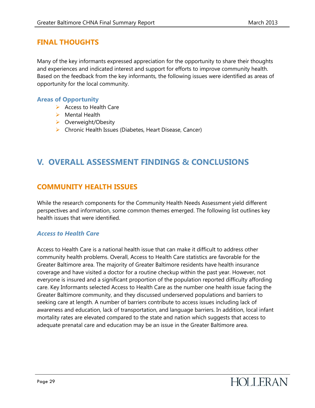### <span id="page-29-0"></span>**FINAL THOUGHTS**

Many of the key informants expressed appreciation for the opportunity to share their thoughts and experiences and indicated interest and support for efforts to improve community health. Based on the feedback from the key informants, the following issues were identified as areas of opportunity for the local community.

#### **Areas of Opportunity**

- $\triangleright$  Access to Health Care
- $\triangleright$  Mental Health
- ▶ Overweight/Obesity
- $\triangleright$  Chronic Health Issues (Diabetes, Heart Disease, Cancer)

## <span id="page-29-1"></span>**V. OVERALL ASSESSMENT FINDINGS & CONCLUSIONS**

#### <span id="page-29-2"></span>**COMMUNITY HEALTH ISSUES**

While the research components for the Community Health Needs Assessment yield different perspectives and information, some common themes emerged. The following list outlines key health issues that were identified.

#### *Access to Health Care*

Access to Health Care is a national health issue that can make it difficult to address other community health problems. Overall, Access to Health Care statistics are favorable for the Greater Baltimore area. The majority of Greater Baltimore residents have health insurance coverage and have visited a doctor for a routine checkup within the past year. However, not everyone is insured and a significant proportion of the population reported difficulty affording care. Key Informants selected Access to Health Care as the number one health issue facing the Greater Baltimore community, and they discussed underserved populations and barriers to seeking care at length. A number of barriers contribute to access issues including lack of awareness and education, lack of transportation, and language barriers. In addition, local infant mortality rates are elevated compared to the state and nation which suggests that access to adequate prenatal care and education may be an issue in the Greater Baltimore area.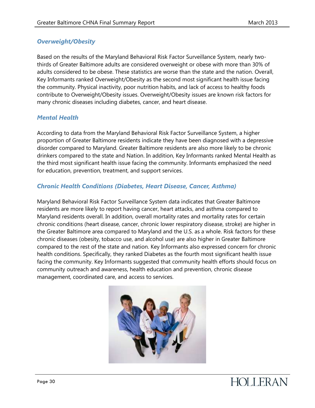#### *Overweight/Obesity*

Based on the results of the Maryland Behavioral Risk Factor Surveillance System, nearly twothirds of Greater Baltimore adults are considered overweight or obese with more than 30% of adults considered to be obese. These statistics are worse than the state and the nation. Overall, Key Informants ranked Overweight/Obesity as the second most significant health issue facing the community. Physical inactivity, poor nutrition habits, and lack of access to healthy foods contribute to Overweight/Obesity issues. Overweight/Obesity issues are known risk factors for many chronic diseases including diabetes, cancer, and heart disease.

#### *Mental Health*

According to data from the Maryland Behavioral Risk Factor Surveillance System, a higher proportion of Greater Baltimore residents indicate they have been diagnosed with a depressive disorder compared to Maryland. Greater Baltimore residents are also more likely to be chronic drinkers compared to the state and Nation. In addition, Key Informants ranked Mental Health as the third most significant health issue facing the community. Informants emphasized the need for education, prevention, treatment, and support services.

#### *Chronic Health Conditions (Diabetes, Heart Disease, Cancer, Asthma)*

Maryland Behavioral Risk Factor Surveillance System data indicates that Greater Baltimore residents are more likely to report having cancer, heart attacks, and asthma compared to Maryland residents overall. In addition, overall mortality rates and mortality rates for certain chronic conditions (heart disease, cancer, chronic lower respiratory disease, stroke) are higher in the Greater Baltimore area compared to Maryland and the U.S. as a whole. Risk factors for these chronic diseases (obesity, tobacco use, and alcohol use) are also higher in Greater Baltimore compared to the rest of the state and nation. Key Informants also expressed concern for chronic health conditions. Specifically, they ranked Diabetes as the fourth most significant health issue facing the community. Key Informants suggested that community health efforts should focus on community outreach and awareness, health education and prevention, chronic disease management, coordinated care, and access to services.

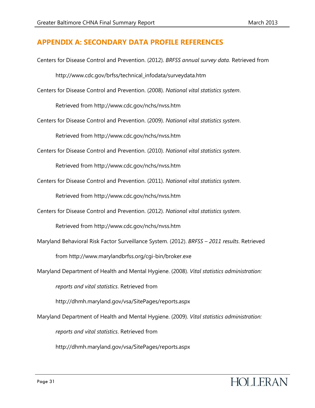#### **APPENDIX A: SECONDARY DATA PROFILE REFERENCES**

- Centers for Disease Control and Prevention. (2012). *BRFSS annual survey data.* Retrieved from http://www.cdc.gov/brfss/technical\_infodata/surveydata.htm
- Centers for Disease Control and Prevention. (2008). *National vital statistics system*.

Retrieved from http://www.cdc.gov/nchs/nvss.htm

Centers for Disease Control and Prevention. (2009). *National vital statistics system*.

Retrieved from http://www.cdc.gov/nchs/nvss.htm

Centers for Disease Control and Prevention. (2010). *National vital statistics system*.

Retrieved from http://www.cdc.gov/nchs/nvss.htm

Centers for Disease Control and Prevention. (2011). *National vital statistics system*.

Retrieved from http://www.cdc.gov/nchs/nvss.htm

Centers for Disease Control and Prevention. (2012). *National vital statistics system*.

Retrieved from http://www.cdc.gov/nchs/nvss.htm

- Maryland Behavioral Risk Factor Surveillance System. (2012). *BRFSS – 2011 results*. Retrieved from http://www.marylandbrfss.org/cgi-bin/broker.exe
- Maryland Department of Health and Mental Hygiene. (2008). *Vital statistics administration:*

*reports and vital statistics*. Retrieved from

http://dhmh.maryland.gov/vsa/SitePages/reports.aspx

Maryland Department of Health and Mental Hygiene. (2009). *Vital statistics administration:* 

*reports and vital statistics*. Retrieved from

http://dhmh.maryland.gov/vsa/SitePages/reports.aspx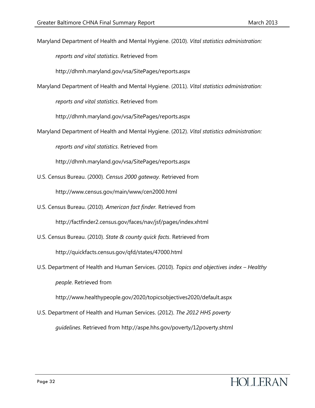Maryland Department of Health and Mental Hygiene. (2010). *Vital statistics administration:* 

*reports and vital statistics*. Retrieved from

http://dhmh.maryland.gov/vsa/SitePages/reports.aspx

Maryland Department of Health and Mental Hygiene. (2011). *Vital statistics administration:* 

*reports and vital statistics*. Retrieved from

http://dhmh.maryland.gov/vsa/SitePages/reports.aspx

Maryland Department of Health and Mental Hygiene. (2012). *Vital statistics administration:* 

*reports and vital statistics*. Retrieved from

http://dhmh.maryland.gov/vsa/SitePages/reports.aspx

- U.S. Census Bureau. (2000). *Census 2000 gateway.* Retrieved from http://www.census.gov/main/www/cen2000.html
- U.S. Census Bureau. (2010). *American fact finder.* Retrieved from http://factfinder2.census.gov/faces/nav/jsf/pages/index.xhtml
- U.S. Census Bureau. (2010). *State & county quick facts*. Retrieved from http://quickfacts.census.gov/qfd/states/47000.html
- U.S. Department of Health and Human Services. (2010). *Topics and objectives index – Healthy people*. Retrieved from

http://www.healthypeople.gov/2020/topicsobjectives2020/default.aspx

U.S. Department of Health and Human Services. (2012). *The 2012 HHS poverty guidelines*. Retrieved from http://aspe.hhs.gov/poverty/12poverty.shtml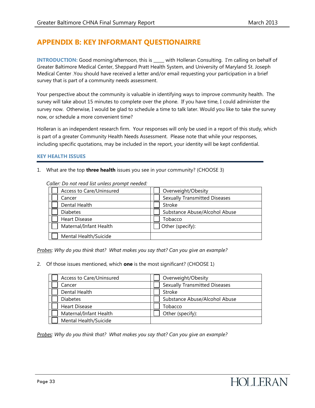## **APPENDIX B: KEY INFORMANT QUESTIONAIRRE**

**INTRODUCTION:** Good morning/afternoon, this is with Holleran Consulting. I'm calling on behalf of Greater Baltimore Medical Center, Sheppard Pratt Health System, and University of Maryland St. Joseph Medical Center .You should have received a letter and/or email requesting your participation in a brief survey that is part of a community needs assessment.

Your perspective about the community is valuable in identifying ways to improve community health. The survey will take about 15 minutes to complete over the phone. If you have time, I could administer the survey now. Otherwise, I would be glad to schedule a time to talk later. Would you like to take the survey now, or schedule a more convenient time?

Holleran is an independent research firm. Your responses will only be used in a report of this study, which is part of a greater Community Health Needs Assessment. Please note that while your responses, including specific quotations, may be included in the report, your identity will be kept confidential.

#### **KEY HEALTH ISSUES**

1. What are the top **three health** issues you see in your community? (CHOOSE 3)

| nier. Do noi reuu ust uniess prompt neeueu. |                                      |
|---------------------------------------------|--------------------------------------|
| Access to Care/Uninsured                    | Overweight/Obesity                   |
| Cancer                                      | <b>Sexually Transmitted Diseases</b> |
| Dental Health                               | <b>Stroke</b>                        |
| <b>Diabetes</b>                             | Substance Abuse/Alcohol Abuse        |
| <b>Heart Disease</b>                        | Tobacco                              |
| Maternal/Infant Health                      | Other (specify):                     |
| Mental Health/Suicide                       |                                      |

*Caller: Do not read list unless prompt needed:* 

*Probes: Why do you think that? What makes you say that? Can you give an example?*

2. Of those issues mentioned, which **one** is the most significant? (CHOOSE 1)

| Access to Care/Uninsured | Overweight/Obesity                   |
|--------------------------|--------------------------------------|
| Cancer                   | <b>Sexually Transmitted Diseases</b> |
| Dental Health            | Stroke                               |
| Diabetes                 | Substance Abuse/Alcohol Abuse        |
| <b>Heart Disease</b>     | Tobacco                              |
| Maternal/Infant Health   | Other (specify):                     |
| Mental Health/Suicide    |                                      |

*Probes: Why do you think that? What makes you say that? Can you give an example?*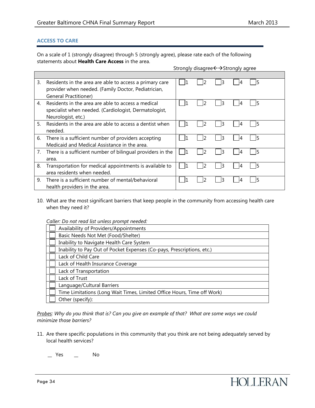#### **ACCESS TO CARE**

On a scale of 1 (strongly disagree) through 5 (strongly agree), please rate each of the following statements about **Health Care Access** in the area.

Strongly disagree $\leftrightarrow$ Strongly agree

| 3. | Residents in the area are able to access a primary care<br>provider when needed. (Family Doctor, Pediatrician, |  | 3 |  |  |
|----|----------------------------------------------------------------------------------------------------------------|--|---|--|--|
|    | <b>General Practitioner)</b>                                                                                   |  |   |  |  |
| 4. | Residents in the area are able to access a medical                                                             |  | 3 |  |  |
|    | specialist when needed. (Cardiologist, Dermatologist,                                                          |  |   |  |  |
|    | Neurologist, etc.)                                                                                             |  |   |  |  |
| 5. | Residents in the area are able to access a dentist when                                                        |  |   |  |  |
|    | needed.                                                                                                        |  |   |  |  |
|    | 6. There is a sufficient number of providers accepting                                                         |  | 3 |  |  |
|    | Medicaid and Medical Assistance in the area.                                                                   |  |   |  |  |
|    | 7. There is a sufficient number of bilingual providers in the                                                  |  | 3 |  |  |
|    | area.                                                                                                          |  |   |  |  |
| 8. | Transportation for medical appointments is available to                                                        |  | З |  |  |
|    | area residents when needed.                                                                                    |  |   |  |  |
| 9. | There is a sufficient number of mental/behavioral                                                              |  |   |  |  |
|    | health providers in the area.                                                                                  |  |   |  |  |

10. What are the most significant barriers that keep people in the community from accessing health care when they need it?

*Caller: Do not read list unless prompt needed:* 

| Availability of Providers/Appointments                                  |
|-------------------------------------------------------------------------|
| Basic Needs Not Met (Food/Shelter)                                      |
| Inability to Navigate Health Care System                                |
| Inability to Pay Out of Pocket Expenses (Co-pays, Prescriptions, etc.)  |
| Lack of Child Care                                                      |
| Lack of Health Insurance Coverage                                       |
| Lack of Transportation                                                  |
| Lack of Trust                                                           |
| Language/Cultural Barriers                                              |
| Time Limitations (Long Wait Times, Limited Office Hours, Time off Work) |
| Other (specify):                                                        |

*Probes: Why do you think that is? Can you give an example of that? What are some ways we could minimize those barriers?*

11. Are there specific populations in this community that you think are not being adequately served by local health services?

\_\_ Yes \_\_ No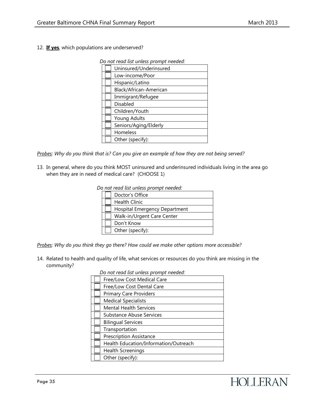12. **If yes**, which populations are underserved?

 *Do not read list unless prompt needed:* 

| Uninsured/Underinsured |
|------------------------|
| Low-income/Poor        |
| Hispanic/Latino        |
| Black/African-American |
| Immigrant/Refugee      |
| Disabled               |
| Children/Youth         |
| Young Adults           |
| Seniors/Aging/Elderly  |
| Homeless               |
| Other (specify):       |

*Probes: Why do you think that is? Can you give an example of how they are not being served?* 

13. In general, where do you think MOST uninsured and underinsured individuals living in the area go when they are in need of medical care? (CHOOSE 1)

 *Do not read list unless prompt needed:* 

| Doctor's Office               |
|-------------------------------|
| <b>Health Clinic</b>          |
| Hospital Emergency Department |
| Walk-in/Urgent Care Center    |
| Don't Know                    |
| Other (specify):              |

*Probes: Why do you think they go there? How could we make other options more accessible?*

14. Related to health and quality of life, what services or resources do you think are missing in the community?

 *Do not read list unless prompt needed:*

| Free/Low Cost Medical Care            |
|---------------------------------------|
| Free/Low Cost Dental Care             |
| <b>Primary Care Providers</b>         |
| <b>Medical Specialists</b>            |
| <b>Mental Health Services</b>         |
| <b>Substance Abuse Services</b>       |
| <b>Bilingual Services</b>             |
| Transportation                        |
| <b>Prescription Assistance</b>        |
| Health Education/Information/Outreach |
| <b>Health Screenings</b>              |
| Other (specify):                      |
|                                       |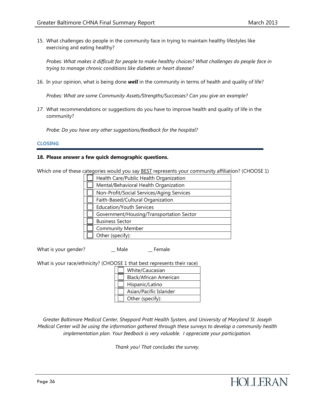15. What challenges do people in the community face in trying to maintain healthy lifestyles like exercising and eating healthy?

*Probes: What makes it difficult for people to make healthy choices? What challenges do people face in trying to manage chronic conditions like diabetes or heart disease?* 

16. In your opinion, what is being done *well* in the community in terms of health and quality of life?

*Probes: What are some Community Assets/Strengths/Successes? Can you give an example?*

*17.* What recommendations or suggestions do you have to improve health and quality of life in the community?

*Probe: Do you have any other suggestions/feedback for the hospital?* 

#### **CLOSING**

#### **18. Please answer a few quick demographic questions.**

Which one of these categories would you say BEST represents your community affiliation? (CHOOSE 1)

| Health Care/Public Health Organization    |  |  |
|-------------------------------------------|--|--|
| Mental/Behavioral Health Organization     |  |  |
| Non-Profit/Social Services/Aging Services |  |  |
| Faith-Based/Cultural Organization         |  |  |
| <b>Education/Youth Services</b>           |  |  |
| Government/Housing/Transportation Sector  |  |  |
| <b>Business Sector</b>                    |  |  |
| <b>Community Member</b>                   |  |  |
| Other (specify):                          |  |  |

What is your gender? \_\_ Male \_\_ Female

What is your race/ethnicity? (CHOOSE 1 that best represents their race)

| White/Caucasian        |  |  |
|------------------------|--|--|
| Black/African American |  |  |
| Hispanic/Latino        |  |  |
| Asian/Pacific Islander |  |  |
| Other (specify):       |  |  |

*Greater Baltimore Medical Center, Sheppard Pratt Health System, and University of Maryland St. Joseph Medical Center will be using the information gathered through these surveys to develop a community health implementation plan. Your feedback is very valuable. I appreciate your participation.* 

*Thank you! That concludes the survey.*